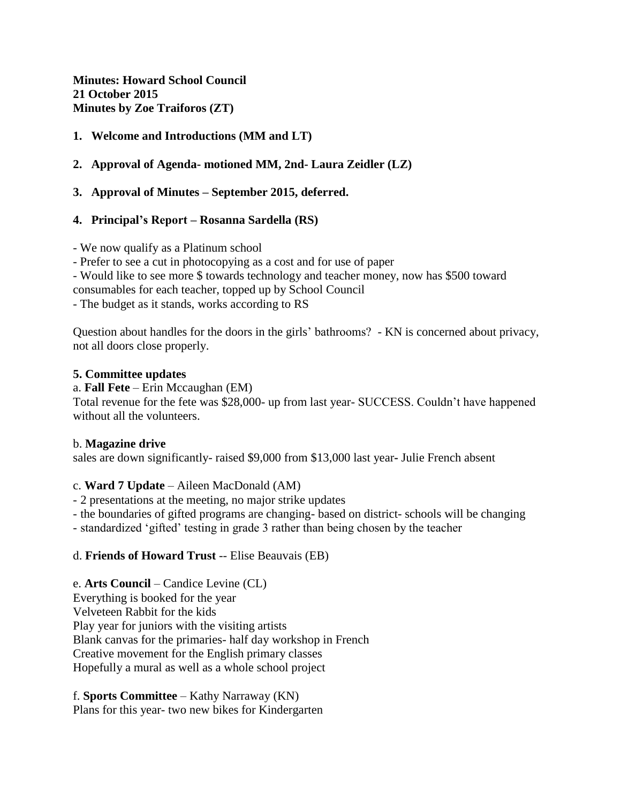**Minutes: Howard School Council 21 October 2015 Minutes by Zoe Traiforos (ZT)**

### **1. Welcome and Introductions (MM and LT)**

### **2. Approval of Agenda- motioned MM, 2nd- Laura Zeidler (LZ)**

### **3. Approval of Minutes – September 2015, deferred.**

### **4. Principal's Report – Rosanna Sardella (RS)**

- We now qualify as a Platinum school

- Prefer to see a cut in photocopying as a cost and for use of paper

- Would like to see more \$ towards technology and teacher money, now has \$500 toward

consumables for each teacher, topped up by School Council

- The budget as it stands, works according to RS

Question about handles for the doors in the girls' bathrooms? - KN is concerned about privacy, not all doors close properly.

#### **5. Committee updates**

a. **Fall Fete** – Erin Mccaughan (EM)

Total revenue for the fete was \$28,000- up from last year- SUCCESS. Couldn't have happened without all the volunteers.

### b. **Magazine drive**

sales are down significantly- raised \$9,000 from \$13,000 last year**-** Julie French absent

### c. **Ward 7 Update** – Aileen MacDonald (AM)

- 2 presentations at the meeting, no major strike updates

- the boundaries of gifted programs are changing- based on district- schools will be changing

- standardized 'gifted' testing in grade 3 rather than being chosen by the teacher

### d. **Friends of Howard Trust** -- Elise Beauvais (EB)

# e. **Arts Council** – Candice Levine (CL)

Everything is booked for the year Velveteen Rabbit for the kids Play year for juniors with the visiting artists Blank canvas for the primaries- half day workshop in French Creative movement for the English primary classes Hopefully a mural as well as a whole school project

f. **Sports Committee** – Kathy Narraway (KN) Plans for this year- two new bikes for Kindergarten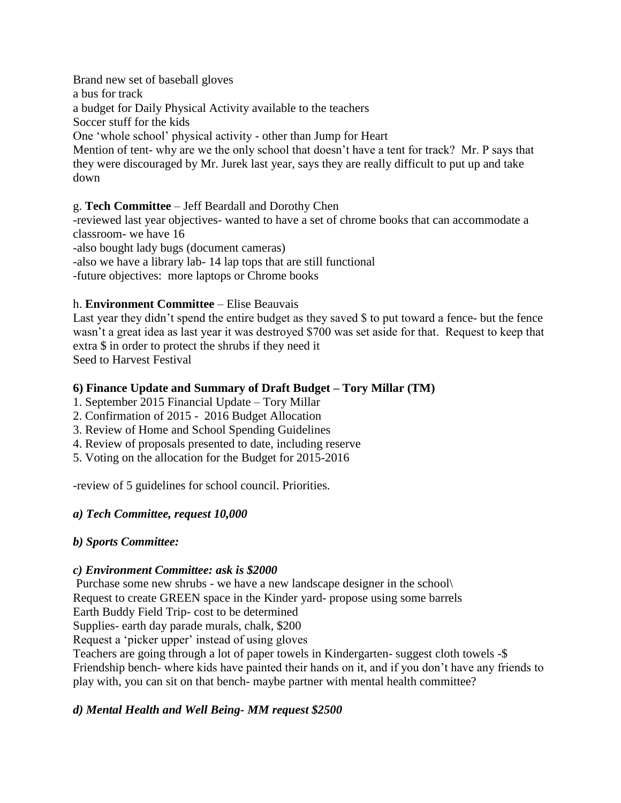Brand new set of baseball gloves a bus for track a budget for Daily Physical Activity available to the teachers Soccer stuff for the kids One 'whole school' physical activity - other than Jump for Heart Mention of tent- why are we the only school that doesn't have a tent for track? Mr. P says that they were discouraged by Mr. Jurek last year, says they are really difficult to put up and take down

### g. **Tech Committee** – Jeff Beardall and Dorothy Chen

-reviewed last year objectives- wanted to have a set of chrome books that can accommodate a classroom- we have 16

-also bought lady bugs (document cameras)

-also we have a library lab- 14 lap tops that are still functional

-future objectives: more laptops or Chrome books

### h. **Environment Committee** – Elise Beauvais

Last year they didn't spend the entire budget as they saved \$ to put toward a fence- but the fence wasn't a great idea as last year it was destroyed \$700 was set aside for that. Request to keep that extra \$ in order to protect the shrubs if they need it Seed to Harvest Festival

# **6) Finance Update and Summary of Draft Budget – Tory Millar (TM)**

1. September 2015 Financial Update – Tory Millar

- 2. Confirmation of 2015 2016 Budget Allocation
- 3. Review of Home and School Spending Guidelines
- 4. Review of proposals presented to date, including reserve
- 5. Voting on the allocation for the Budget for 2015-2016

-review of 5 guidelines for school council. Priorities.

# *a) Tech Committee, request 10,000*

# *b) Sports Committee:*

### *c) Environment Committee: ask is \$2000*

Purchase some new shrubs - we have a new landscape designer in the school\ Request to create GREEN space in the Kinder yard- propose using some barrels

Earth Buddy Field Trip- cost to be determined

Supplies- earth day parade murals, chalk, \$200

Request a 'picker upper' instead of using gloves

Teachers are going through a lot of paper towels in Kindergarten- suggest cloth towels -\$ Friendship bench- where kids have painted their hands on it, and if you don't have any friends to play with, you can sit on that bench- maybe partner with mental health committee?

# *d) Mental Health and Well Being- MM request \$2500*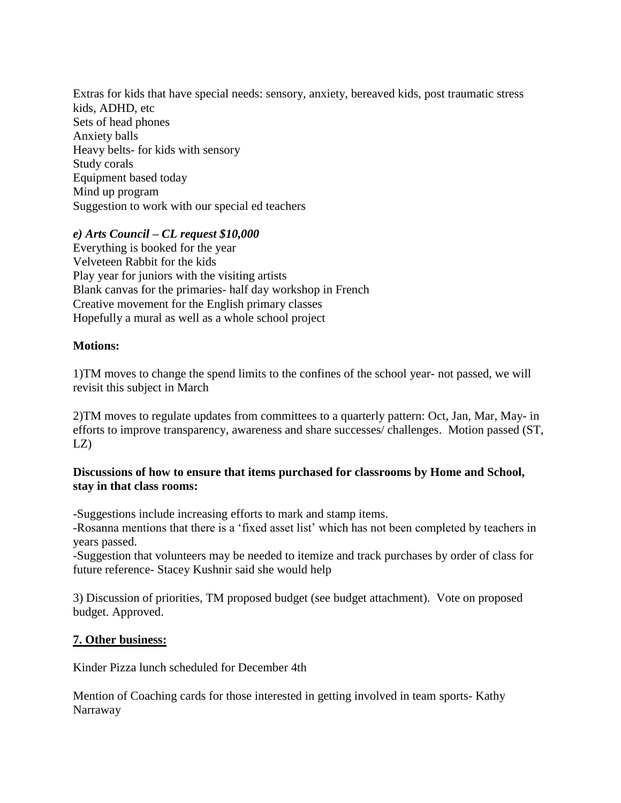Extras for kids that have special needs: sensory, anxiety, bereaved kids, post traumatic stress kids, ADHD, etc Sets of head phones Anxiety balls Heavy belts- for kids with sensory Study corals Equipment based today Mind up program Suggestion to work with our special ed teachers

#### *e) Arts Council – CL request \$10,000*

Everything is booked for the year Velveteen Rabbit for the kids Play year for juniors with the visiting artists Blank canvas for the primaries- half day workshop in French Creative movement for the English primary classes Hopefully a mural as well as a whole school project

#### **Motions:**

1)TM moves to change the spend limits to the confines of the school year- not passed, we will revisit this subject in March

2)TM moves to regulate updates from committees to a quarterly pattern: Oct, Jan, Mar, May- in efforts to improve transparency, awareness and share successes/ challenges. Motion passed (ST,  $LZ$ 

#### **Discussions of how to ensure that items purchased for classrooms by Home and School, stay in that class rooms:**

-Suggestions include increasing efforts to mark and stamp items.

-Rosanna mentions that there is a 'fixed asset list' which has not been completed by teachers in years passed.

-Suggestion that volunteers may be needed to itemize and track purchases by order of class for future reference- Stacey Kushnir said she would help

3) Discussion of priorities, TM proposed budget (see budget attachment). Vote on proposed budget. Approved.

### **7. Other business:**

Kinder Pizza lunch scheduled for December 4th

Mention of Coaching cards for those interested in getting involved in team sports- Kathy Narraway